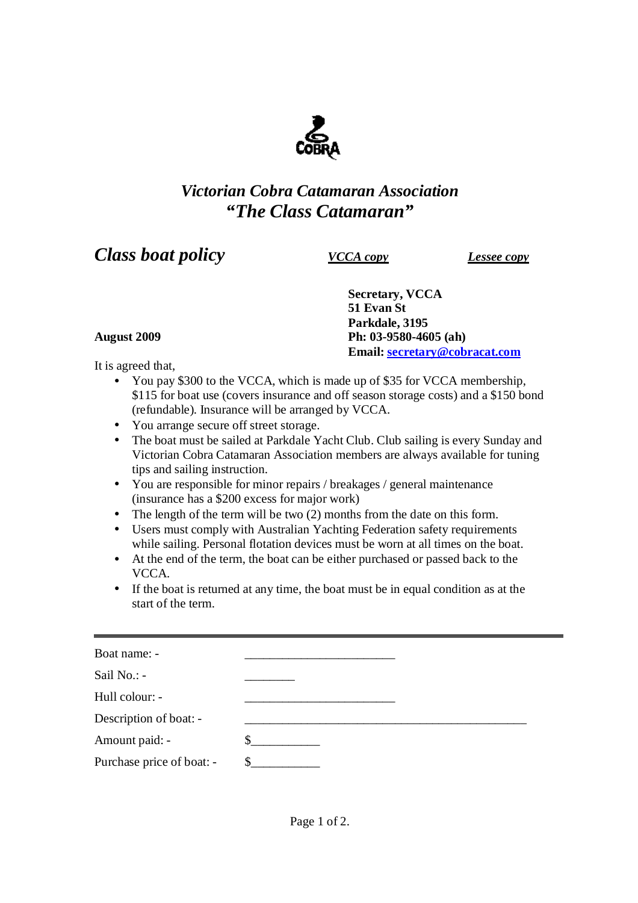

## *Victorian Cobra Catamaran Association "The Class Catamaran"*

## *Class boat policy VCCA copy Lessee copy*

**Secretary, VCCA 51 Evan St Parkdale, 3195 August 2009 Ph: 03-9580-4605 (ah) Email: [secretary@cobracat.com](mailto:secretary@cobracat.com)**

It is agreed that,

- You pay \$300 to the VCCA, which is made up of \$35 for VCCA membership, \$115 for boat use (covers insurance and off season storage costs) and a \$150 bond (refundable). Insurance will be arranged by VCCA.
- You arrange secure off street storage.
- The boat must be sailed at Parkdale Yacht Club. Club sailing is every Sunday and Victorian Cobra Catamaran Association members are always available for tuning tips and sailing instruction.
- You are responsible for minor repairs / breakages / general maintenance (insurance has a \$200 excess for major work)
- The length of the term will be two (2) months from the date on this form.
- Users must comply with Australian Yachting Federation safety requirements while sailing. Personal flotation devices must be worn at all times on the boat.
- At the end of the term, the boat can be either purchased or passed back to the VCCA.
- If the boat is returned at any time, the boat must be in equal condition as at the start of the term.

| Boat name: -              |  |
|---------------------------|--|
| Sail No.: -               |  |
| Hull colour: -            |  |
| Description of boat: -    |  |
| Amount paid: -            |  |
| Purchase price of boat: - |  |